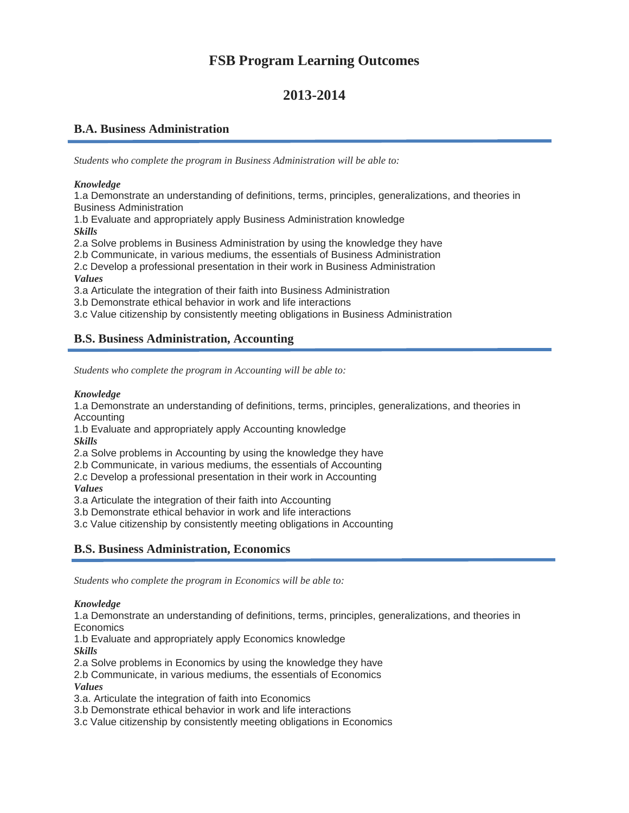# **FSB Program Learning Outcomes**

# **2013-2014**

### **B.A. Business Administration**

*Students who complete the program in Business Administration will be able to:*

#### *Knowledge*

1.a Demonstrate an understanding of definitions, terms, principles, generalizations, and theories in Business Administration

1.b Evaluate and appropriately apply Business Administration knowledge *Skills*

2.a Solve problems in Business Administration by using the knowledge they have

2.b Communicate, in various mediums, the essentials of Business Administration 2.c Develop a professional presentation in their work in Business Administration *Values*

3.a Articulate the integration of their faith into Business Administration

3.b Demonstrate ethical behavior in work and life interactions

3.c Value citizenship by consistently meeting obligations in Business Administration

## **B.S. Business Administration, Accounting**

*Students who complete the program in Accounting will be able to:*

#### *Knowledge*

1.a Demonstrate an understanding of definitions, terms, principles, generalizations, and theories in Accounting

1.b Evaluate and appropriately apply Accounting knowledge *Skills*

2.a Solve problems in Accounting by using the knowledge they have

2.b Communicate, in various mediums, the essentials of Accounting

2.c Develop a professional presentation in their work in Accounting

*Values*

3.a Articulate the integration of their faith into Accounting

3.b Demonstrate ethical behavior in work and life interactions

3.c Value citizenship by consistently meeting obligations in Accounting

## **B.S. Business Administration, Economics**

*Students who complete the program in Economics will be able to:*

### *Knowledge*

1.a Demonstrate an understanding of definitions, terms, principles, generalizations, and theories in **Economics** 

1.b Evaluate and appropriately apply Economics knowledge *Skills*

2.a Solve problems in Economics by using the knowledge they have

2.b Communicate, in various mediums, the essentials of Economics *Values*

3.a. Articulate the integration of faith into Economics

3.b Demonstrate ethical behavior in work and life interactions

3.c Value citizenship by consistently meeting obligations in Economics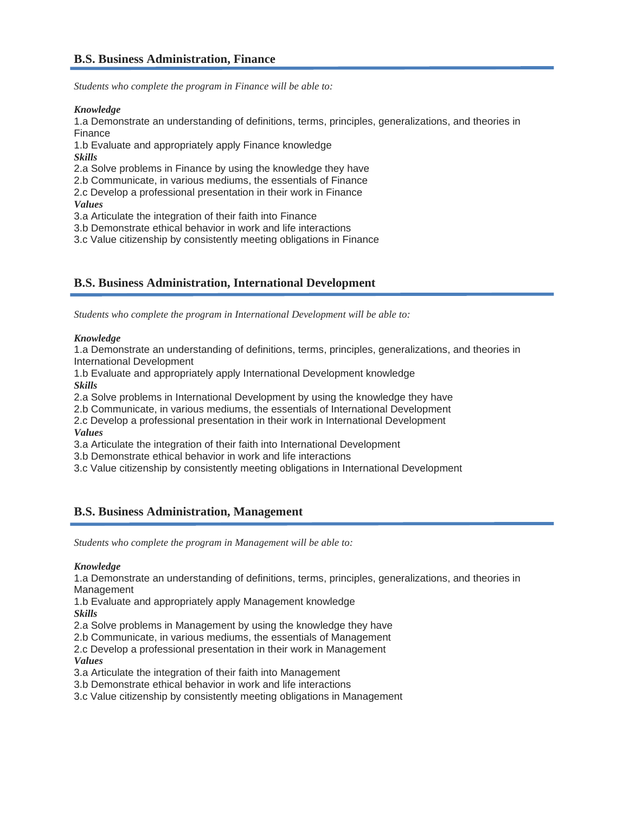*Students who complete the program in Finance will be able to:*

*Knowledge*

1.a Demonstrate an understanding of definitions, terms, principles, generalizations, and theories in Finance

1.b Evaluate and appropriately apply Finance knowledge

*Skills*

2.a Solve problems in Finance by using the knowledge they have

2.b Communicate, in various mediums, the essentials of Finance 2.c Develop a professional presentation in their work in Finance

*Values*

3.a Articulate the integration of their faith into Finance

3.b Demonstrate ethical behavior in work and life interactions

3.c Value citizenship by consistently meeting obligations in Finance

## **B.S. Business Administration, International Development**

*Students who complete the program in International Development will be able to:*

### *Knowledge*

1.a Demonstrate an understanding of definitions, terms, principles, generalizations, and theories in International Development

1.b Evaluate and appropriately apply International Development knowledge *Skills*

2.a Solve problems in International Development by using the knowledge they have

2.b Communicate, in various mediums, the essentials of International Development

2.c Develop a professional presentation in their work in International Development *Values*

3.a Articulate the integration of their faith into International Development

3.b Demonstrate ethical behavior in work and life interactions

3.c Value citizenship by consistently meeting obligations in International Development

### **B.S. Business Administration, Management**

*Students who complete the program in Management will be able to:*

#### *Knowledge*

1.a Demonstrate an understanding of definitions, terms, principles, generalizations, and theories in Management

1.b Evaluate and appropriately apply Management knowledge *Skills*

2.a Solve problems in Management by using the knowledge they have

2.b Communicate, in various mediums, the essentials of Management

2.c Develop a professional presentation in their work in Management *Values*

3.a Articulate the integration of their faith into Management

3.b Demonstrate ethical behavior in work and life interactions

3.c Value citizenship by consistently meeting obligations in Management